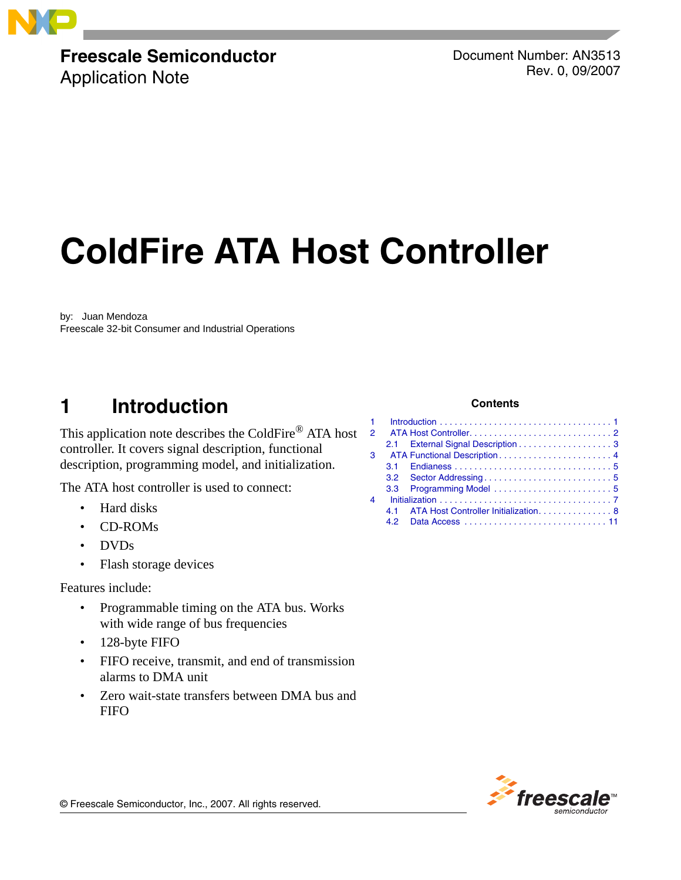

# **Freescale Semiconductor**

Application Note

Document Number: AN3513 Rev. 0, 09/2007

# **ColdFire ATA Host Controller**

by: Juan Mendoza Freescale 32-bit Consumer and Industrial Operations

# <span id="page-0-0"></span>**1 Introduction**

This application note describes the ColdFire® ATA host controller. It covers signal description, functional description, programming model, and initialization.

The ATA host controller is used to connect:

- Hard disks
- CD-ROMs
- DVDs
- Flash storage devices

Features include:

- Programmable timing on the ATA bus. Works with wide range of bus frequencies
- 128-byte FIFO
- FIFO receive, transmit, and end of transmission alarms to DMA unit
- Zero wait-state transfers between DMA bus and **FIFO**

#### **Contents**

| $1 -$                 |                                                                                          |                                       |
|-----------------------|------------------------------------------------------------------------------------------|---------------------------------------|
| $\mathbf{P}$          |                                                                                          |                                       |
|                       |                                                                                          |                                       |
| 3                     |                                                                                          |                                       |
|                       |                                                                                          |                                       |
|                       |                                                                                          |                                       |
|                       | 3.3                                                                                      |                                       |
| $\boldsymbol{\Delta}$ | $Initialization \ldots \ldots \ldots \ldots \ldots \ldots \ldots \ldots \ldots \ldots 7$ |                                       |
|                       | 41                                                                                       | ATA Host Controller Initialization. 8 |
|                       |                                                                                          |                                       |

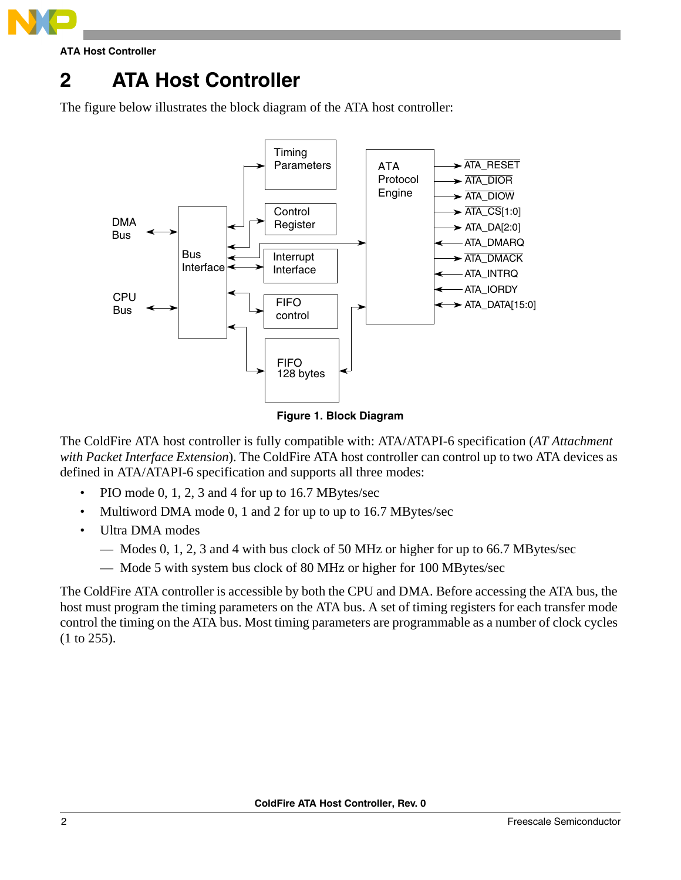

**ATA Host Controller**

# <span id="page-1-0"></span>**2 ATA Host Controller**

The figure below illustrates the block diagram of the ATA host controller:



**Figure 1. Block Diagram**

The ColdFire ATA host controller is fully compatible with: ATA/ATAPI-6 specification (*AT Attachment with Packet Interface Extension*). The ColdFire ATA host controller can control up to two ATA devices as defined in ATA/ATAPI-6 specification and supports all three modes:

- PIO mode 0, 1, 2, 3 and 4 for up to 16.7 MBytes/sec
- Multiword DMA mode 0, 1 and 2 for up to up to 16.7 MBytes/sec
- Ultra DMA modes
	- Modes 0, 1, 2, 3 and 4 with bus clock of 50 MHz or higher for up to 66.7 MBytes/sec
	- Mode 5 with system bus clock of 80 MHz or higher for 100 MBytes/sec

The ColdFire ATA controller is accessible by both the CPU and DMA. Before accessing the ATA bus, the host must program the timing parameters on the ATA bus. A set of timing registers for each transfer mode control the timing on the ATA bus. Most timing parameters are programmable as a number of clock cycles (1 to 255).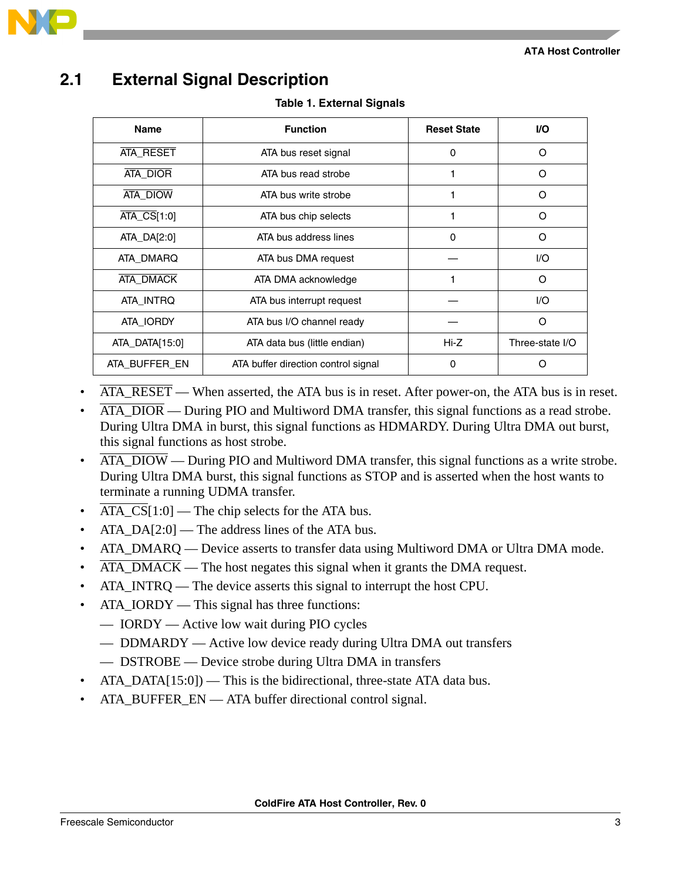

# <span id="page-2-0"></span>**2.1 External Signal Description**

**Table 1. External Signals**

| <b>Name</b>     | <b>Function</b>                     | <b>Reset State</b> | VO.             |
|-----------------|-------------------------------------|--------------------|-----------------|
| ATA_RESET       | ATA bus reset signal                | 0                  | ∩               |
| <b>ATA DIOR</b> | ATA bus read strobe                 |                    | ∩               |
| ATA_DIOW        | ATA bus write strobe                |                    | ∩               |
| $ATA_CS[1:0]$   | ATA bus chip selects                |                    | Ω               |
| ATA_DA[2:0]     | ATA bus address lines               | 0                  | Ω               |
| ATA DMARQ       | ATA bus DMA request                 |                    | 1/O             |
| ATA_DMACK       | ATA DMA acknowledge                 |                    | Ω               |
| ATA INTRQ       | ATA bus interrupt request           |                    | I/O             |
| ATA IORDY       | ATA bus I/O channel ready           |                    | O               |
| ATA_DATA[15:0]  | ATA data bus (little endian)        | Hi-Z               | Three-state I/O |
| ATA BUFFER EN   | ATA buffer direction control signal | 0                  |                 |

- $\overline{ATA}$  RESET When asserted, the ATA bus is in reset. After power-on, the ATA bus is in reset.
- ATA\_DIOR During PIO and Multiword DMA transfer, this signal functions as a read strobe. During Ultra DMA in burst, this signal functions as HDMARDY. During Ultra DMA out burst, this signal functions as host strobe.
- ATA\_DIOW During PIO and Multiword DMA transfer, this signal functions as a write strobe. During Ultra DMA burst, this signal functions as STOP and is asserted when the host wants to terminate a running UDMA transfer.
- $\overline{ATA\_CS}[1:0]$  The chip selects for the ATA bus.
- $ATA_DA[2:0]$  The address lines of the ATA bus.
- ATA\_DMARQ Device asserts to transfer data using Multiword DMA or Ultra DMA mode.
- ATA\_DMACK The host negates this signal when it grants the DMA request.
- ATA\_INTRQ The device asserts this signal to interrupt the host CPU.
- ATA\_IORDY This signal has three functions:
	- IORDY Active low wait during PIO cycles
	- DDMARDY Active low device ready during Ultra DMA out transfers
	- DSTROBE Device strobe during Ultra DMA in transfers
- $ATA_DATA[15:0]$  This is the bidirectional, three-state ATA data bus.
- ATA BUFFER EN ATA buffer directional control signal.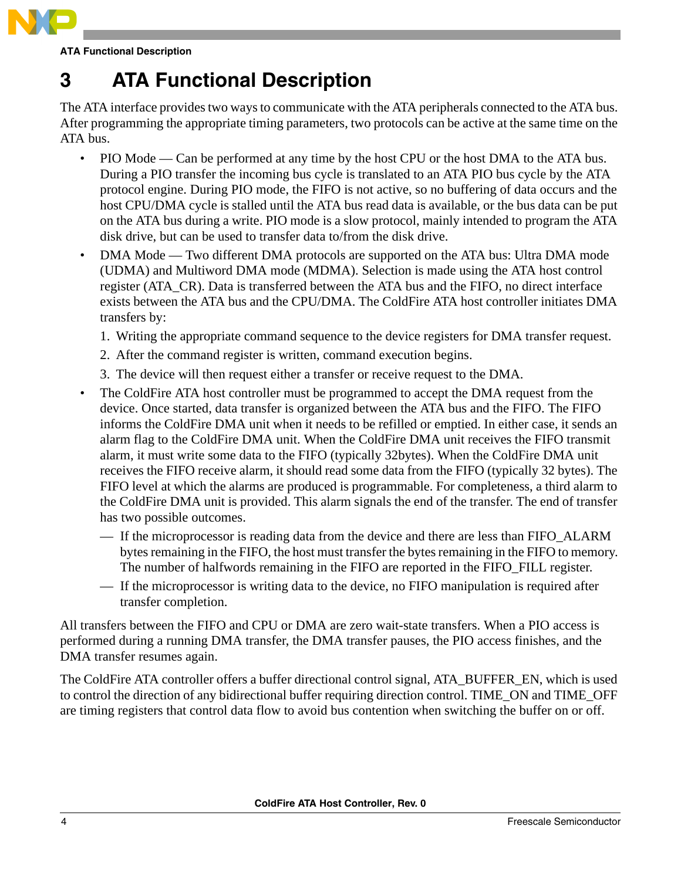

**ATA Functional Description**

# <span id="page-3-0"></span>**3 ATA Functional Description**

The ATA interface provides two ways to communicate with the ATA peripherals connected to the ATA bus. After programming the appropriate timing parameters, two protocols can be active at the same time on the ATA bus.

- PIO Mode Can be performed at any time by the host CPU or the host DMA to the ATA bus. During a PIO transfer the incoming bus cycle is translated to an ATA PIO bus cycle by the ATA protocol engine. During PIO mode, the FIFO is not active, so no buffering of data occurs and the host CPU/DMA cycle is stalled until the ATA bus read data is available, or the bus data can be put on the ATA bus during a write. PIO mode is a slow protocol, mainly intended to program the ATA disk drive, but can be used to transfer data to/from the disk drive.
- DMA Mode Two different DMA protocols are supported on the ATA bus: Ultra DMA mode (UDMA) and Multiword DMA mode (MDMA). Selection is made using the ATA host control register (ATA\_CR). Data is transferred between the ATA bus and the FIFO, no direct interface exists between the ATA bus and the CPU/DMA. The ColdFire ATA host controller initiates DMA transfers by:
	- 1. Writing the appropriate command sequence to the device registers for DMA transfer request.
	- 2. After the command register is written, command execution begins.
	- 3. The device will then request either a transfer or receive request to the DMA.
- The ColdFire ATA host controller must be programmed to accept the DMA request from the device. Once started, data transfer is organized between the ATA bus and the FIFO. The FIFO informs the ColdFire DMA unit when it needs to be refilled or emptied. In either case, it sends an alarm flag to the ColdFire DMA unit. When the ColdFire DMA unit receives the FIFO transmit alarm, it must write some data to the FIFO (typically 32bytes). When the ColdFire DMA unit receives the FIFO receive alarm, it should read some data from the FIFO (typically 32 bytes). The FIFO level at which the alarms are produced is programmable. For completeness, a third alarm to the ColdFire DMA unit is provided. This alarm signals the end of the transfer. The end of transfer has two possible outcomes.
	- If the microprocessor is reading data from the device and there are less than FIFO\_ALARM bytes remaining in the FIFO, the host must transfer the bytes remaining in the FIFO to memory. The number of halfwords remaining in the FIFO are reported in the FIFO\_FILL register.
	- If the microprocessor is writing data to the device, no FIFO manipulation is required after transfer completion.

All transfers between the FIFO and CPU or DMA are zero wait-state transfers. When a PIO access is performed during a running DMA transfer, the DMA transfer pauses, the PIO access finishes, and the DMA transfer resumes again.

The ColdFire ATA controller offers a buffer directional control signal, ATA\_BUFFER\_EN, which is used to control the direction of any bidirectional buffer requiring direction control. TIME\_ON and TIME\_OFF are timing registers that control data flow to avoid bus contention when switching the buffer on or off.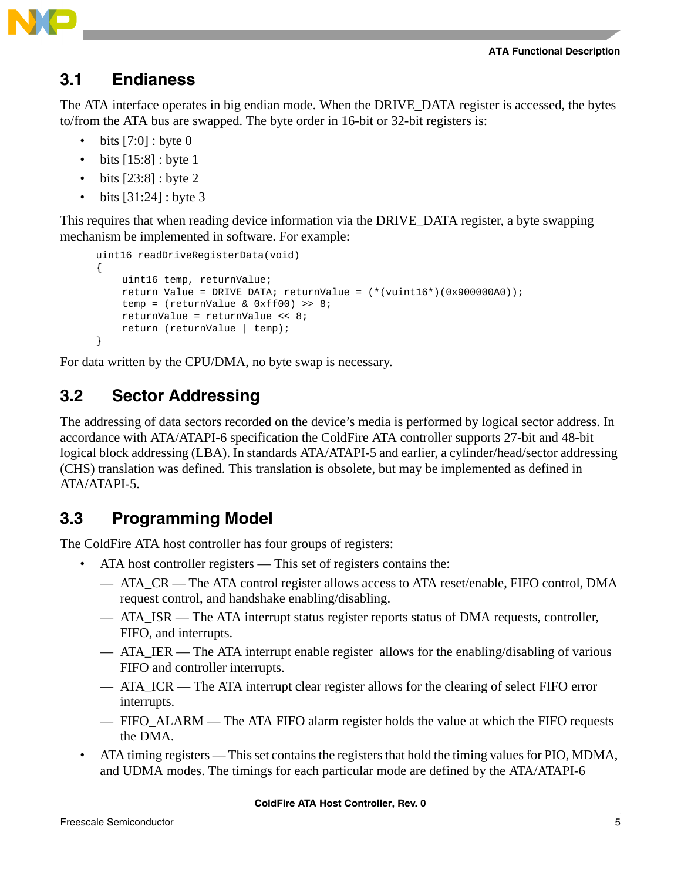**ATA Functional Description**



### <span id="page-4-0"></span>**3.1 Endianess**

The ATA interface operates in big endian mode. When the DRIVE\_DATA register is accessed, the bytes to/from the ATA bus are swapped. The byte order in 16-bit or 32-bit registers is:

- bits  $[7:0]$ : byte 0
- bits  $[15:8]$  : byte 1
- bits [23:8] : byte 2
- bits  $[31:24]$  : byte 3

This requires that when reading device information via the DRIVE\_DATA register, a byte swapping mechanism be implemented in software. For example:

```
uint16 readDriveRegisterData(void)
{
    uint16 temp, returnValue;
    return Value = DRIVE_DATA; returnValue = (*(vuint16*)(0x900000A0));
    temp = (returnValue & 0xff00) >> 8;
    returnValue = returnValue << 8;
    return (returnValue | temp); 
}
```
For data written by the CPU/DMA, no byte swap is necessary.

## <span id="page-4-1"></span>**3.2 Sector Addressing**

The addressing of data sectors recorded on the device's media is performed by logical sector address. In accordance with ATA/ATAPI-6 specification the ColdFire ATA controller supports 27-bit and 48-bit logical block addressing (LBA). In standards ATA/ATAPI-5 and earlier, a cylinder/head/sector addressing (CHS) translation was defined. This translation is obsolete, but may be implemented as defined in ATA/ATAPI-5.

# <span id="page-4-2"></span>**3.3 Programming Model**

The ColdFire ATA host controller has four groups of registers:

- ATA host controller registers This set of registers contains the:
	- ATA CR The ATA control register allows access to ATA reset/enable, FIFO control, DMA request control, and handshake enabling/disabling.
	- ATA\_ISR The ATA interrupt status register reports status of DMA requests, controller, FIFO, and interrupts.
	- ATA\_IER The ATA interrupt enable register allows for the enabling/disabling of various FIFO and controller interrupts.
	- ATA ICR The ATA interrupt clear register allows for the clearing of select FIFO error interrupts.
	- FIFO\_ALARM The ATA FIFO alarm register holds the value at which the FIFO requests the DMA.
- ATA timing registers This set contains the registers that hold the timing values for PIO, MDMA, and UDMA modes. The timings for each particular mode are defined by the ATA/ATAPI-6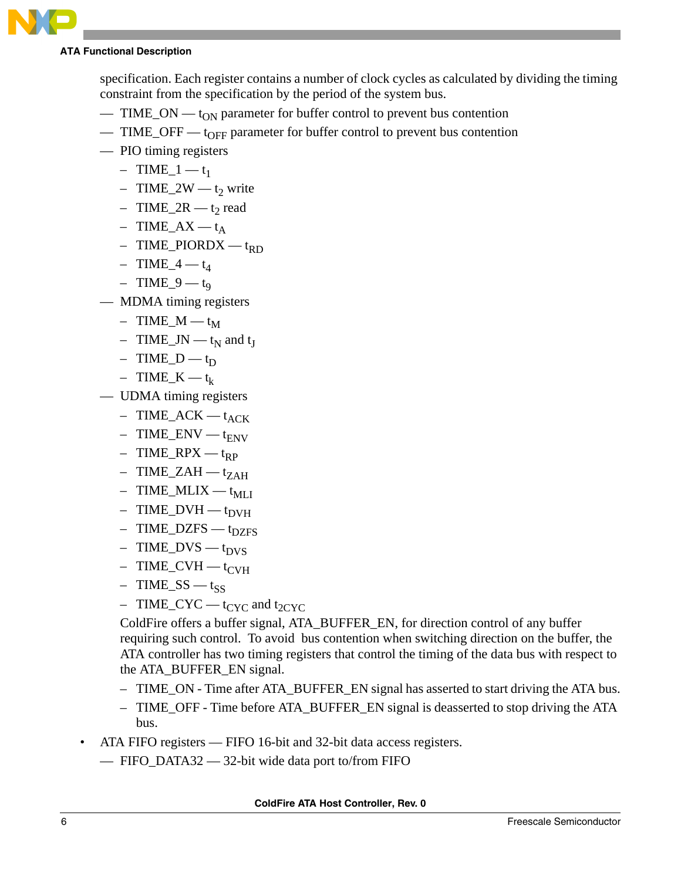

#### **ATA Functional Description**

specification. Each register contains a number of clock cycles as calculated by dividing the timing constraint from the specification by the period of the system bus.

- $-$  TIME\_ON  $-$  t<sub>ON</sub> parameter for buffer control to prevent bus contention
- TIME\_OFF  $t_{\text{OFF}}$  parameter for buffer control to prevent bus contention
- PIO timing registers
	- $-$  TIME\_1 t<sub>1</sub>
	- TIME\_2W  $t_2$  write
	- $-$  TIME\_2R t<sub>2</sub> read
	- $-$  TIME\_AX t<sub>A</sub>
	- $-$  TIME\_PIORDX t<sub>RD</sub>
	- $-$  TIME\_4  $t_4$
	- TIME  $9 t_9$
- MDMA timing registers
	- $-$  TIME\_M t<sub>M</sub>
	- TIME\_JN  $t_N$  and  $t_J$
	- $-$  TIME\_D t<sub>D</sub>
	- $-$  TIME<sub>K</sub> t<sub>k</sub>
- UDMA timing registers
	- $-$  TIME\_ACK t<sub>ACK</sub>
	- $-$  TIME\_ENV t<sub>ENV</sub>
	- $-$  TIME\_RPX t<sub>RP</sub>
	- $-$  TIME\_ZAH t<sub>ZAH</sub>
	- $-$  TIME\_MLIX  $t_{\text{ML}}$
	- $-$  TIME\_DVH  $t_{\text{DVH}}$
	- $-$  TIME\_DZFS t<sub>DZFS</sub>
	- $-$  TIME\_DVS t<sub>DVS</sub>
	- $-$  TIME\_CVH t<sub>CVH</sub>
	- $-$  TIME\_SS t<sub>SS</sub>
	- $-$  TIME\_CYC t<sub>CYC</sub> and t<sub>2CYC</sub>

ColdFire offers a buffer signal, ATA\_BUFFER\_EN, for direction control of any buffer requiring such control. To avoid bus contention when switching direction on the buffer, the ATA controller has two timing registers that control the timing of the data bus with respect to the ATA\_BUFFER\_EN signal.

- TIME\_ON Time after ATA\_BUFFER\_EN signal has asserted to start driving the ATA bus.
- TIME\_OFF Time before ATA\_BUFFER\_EN signal is deasserted to stop driving the ATA bus.
- ATA FIFO registers FIFO 16-bit and 32-bit data access registers.
	- FIFO\_DATA32 32-bit wide data port to/from FIFO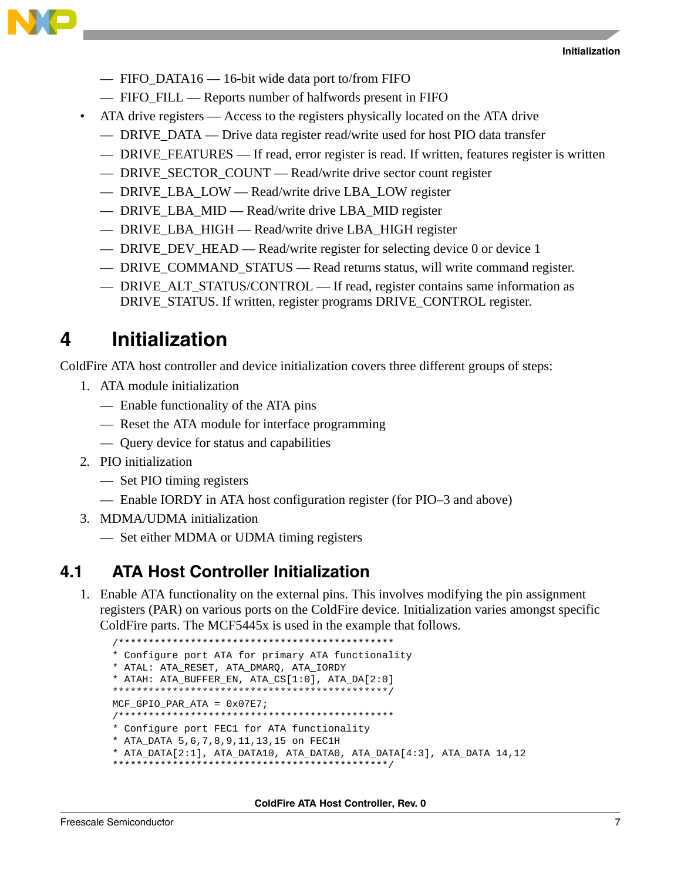

- FIFO\_DATA16 16-bit wide data port to/from FIFO
- FIFO\_FILL Reports number of halfwords present in FIFO
- ATA drive registers Access to the registers physically located on the ATA drive
	- DRIVE DATA Drive data register read/write used for host PIO data transfer
	- DRIVE\_FEATURES If read, error register is read. If written, features register is written
	- DRIVE\_SECTOR\_COUNT Read/write drive sector count register
	- DRIVE\_LBA\_LOW Read/write drive LBA\_LOW register
	- DRIVE\_LBA\_MID Read/write drive LBA\_MID register
	- DRIVE\_LBA\_HIGH Read/write drive LBA\_HIGH register
	- DRIVE\_DEV\_HEAD Read/write register for selecting device 0 or device 1
	- DRIVE\_COMMAND\_STATUS Read returns status, will write command register.
	- DRIVE\_ALT\_STATUS/CONTROL If read, register contains same information as DRIVE\_STATUS. If written, register programs DRIVE\_CONTROL register.

# <span id="page-6-0"></span>**4 Initialization**

ColdFire ATA host controller and device initialization covers three different groups of steps:

- 1. ATA module initialization
	- Enable functionality of the ATA pins
	- Reset the ATA module for interface programming
	- Query device for status and capabilities
- 2. PIO initialization
	- Set PIO timing registers
	- Enable IORDY in ATA host configuration register (for PIO–3 and above)
- 3. MDMA/UDMA initialization
	- Set either MDMA or UDMA timing registers

### <span id="page-6-1"></span>**4.1 ATA Host Controller Initialization**

1. Enable ATA functionality on the external pins. This involves modifying the pin assignment registers (PAR) on various ports on the ColdFire device. Initialization varies amongst specific ColdFire parts. The MCF5445x is used in the example that follows.

```
/**********************************************
* Configure port ATA for primary ATA functionality
* ATAL: ATA_RESET, ATA_DMARQ, ATA_IORDY
* ATAH: ATA_BUFFER_EN, ATA_CS[1:0], ATA_DA[2:0]
**********************************************/
MCF GPIO PAR ATA = 0x07E7;
/**********************************************
* Configure port FEC1 for ATA functionality
* ATA_DATA 5,6,7,8,9,11,13,15 on FEC1H
* ATA_DATA[2:1], ATA_DATA10, ATA_DATA0, ATA_DATA[4:3], ATA_DATA 14,12
**********************************************/
```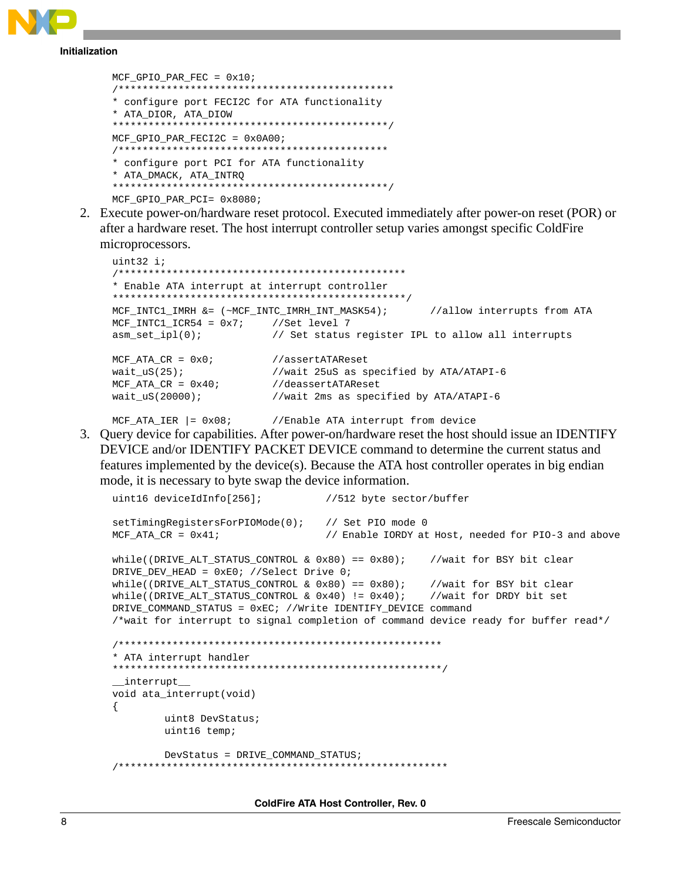

**Initialization** 

```
MCF GPIO PAR FEC = 0x10;
* configure port FECI2C for ATA functionality
* ATA DIOR, ATA DIOW
MCF GPIO PAR FECI2C = 0 \times 0 A00;
* configure port PCI for ATA functionality
* ATA_DMACK, ATA_INTRQ
MCF GPIO PAR PCI= 0x8080;
```
2. Execute power-on/hardware reset protocol. Executed immediately after power-on reset (POR) or after a hardware reset. The host interrupt controller setup varies amongst specific ColdFire microprocessors.

```
uint32 i;* Enable ATA interrupt at interrupt controller
MCF\_INTC1\_IMRH &= (\sim MCF\_INTC\_IMRH\_INT\_MASK54);
                                           //allow interrupts from ATA
MCF INTC1 ICR54 = 0x7; //Set level 7
asm_set\_ipl(0);// Set status register IPL to allow all interrupts
MCF\_ATA_CR = 0x0;//assertATAReset
wait_us(25);//wait 25uS as specified by ATA/ATAPI-6
MCF ATA CR = 0 \times 40;//deassertATAReset
wait US(20000);
                      //wait 2ms as specified by ATA/ATAPI-6
```
MCF ATA IER  $| = 0 \times 08$ ; //Enable ATA interrupt from device

3. Query device for capabilities. After power-on/hardware reset the host should issue an IDENTIFY DEVICE and/or IDENTIFY PACKET DEVICE command to determine the current status and features implemented by the device(s). Because the ATA host controller operates in big endian mode, it is necessary to byte swap the device information.

```
uint16 deviceIdInfo[256];
                             //512 byte sector/buffer
setTimingRegistersForPIOMode(0);
                             // Set PIO mode 0
MCF\_ATA_CR = 0x41;// Enable IORDY at Host, needed for PIO-3 and above
while((DRIVE ALT STATUS CONTROL & 0x80) == 0x80); //wait for BSY bit clear
DRIVE DEV HEAD = 0xE0; //Select Drive 0;
                                          //wait for BSY bit clear<br>//wait for DRDY bit set
while((DRIVE ALT STATUS CONTROL & 0x80) == 0x80);
while((DRIVE_ALT_STATUS_CONTROL & 0x40) != 0x40);
DRIVE_COMMAND_STATUS = 0xEC; //Write IDENTIFY_DEVICE command
/*wait for interrupt to signal completion of command device ready for buffer read*/
* ATA interrupt handler
__interrupt__
void ata_interrupt(void)
\{uint8 DevStatus;
       uint16 temp;
       DevStatus = DRIVE_COMMAND_STATUS;
```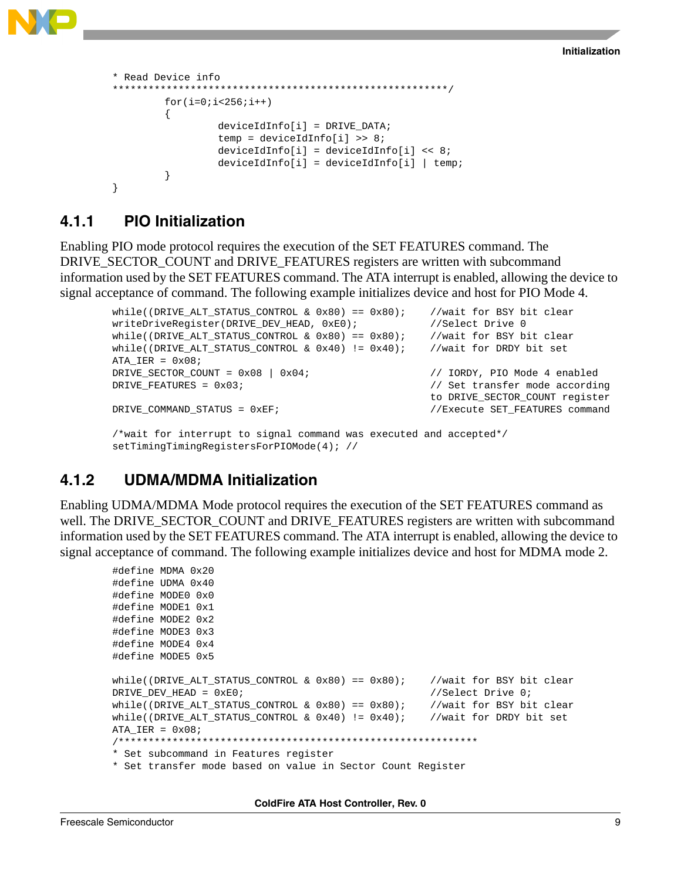

```
* Read Device info
********************************************************/
        for(i=0;i<256;i++){
                 deviceIdInfo[i] = DRIVE DATA;temp = deviceIdInfo[i] >> 8;
                 deviceIdInfo[i] = deviceIdInfo[i] << 8;
                 deviceIdInfo[i] = deviceIdInfo[i] | temp;
         }
}
```
### **4.1.1 PIO Initialization**

Enabling PIO mode protocol requires the execution of the SET FEATURES command. The DRIVE\_SECTOR\_COUNT and DRIVE\_FEATURES registers are written with subcommand information used by the SET FEATURES command. The ATA interrupt is enabled, allowing the device to signal acceptance of command. The following example initializes device and host for PIO Mode 4.

```
while((DRIVE\_ALT\_STATUS\_CONTROL & Ox80) == 0x80; //wait for BSY bit clear
writeDriveRegister(DRIVE_DEV_HEAD, 0xE0); //Select Drive 0
while((DRIVE_ALT_STATUS_CONTROL & 0x80) == 0x80; //wait for BSY bit clear
while((DRIVE_ALT_STATUS_CONTROL & 0x40) != 0x40); //wait for DRDY bit set
ATA_IER = 0 \times 08;
DRIVE SECTOR COUNT = 0x08 | 0x04; / // IORDY, PIO Mode 4 enabled
DRIVE_FEATURES = 0x03;
                                              to DRIVE_SECTOR_COUNT register
DRIVE_COMMAND_STATUS = 0xEF; \overline{V/E} //Execute SET_FEATURES command
/*wait for interrupt to signal command was executed and accepted*/
setTimingTimingRegistersForPIOMode(4); //
```
### **4.1.2 UDMA/MDMA Initialization**

Enabling UDMA/MDMA Mode protocol requires the execution of the SET FEATURES command as well. The DRIVE\_SECTOR\_COUNT and DRIVE\_FEATURES registers are written with subcommand information used by the SET FEATURES command. The ATA interrupt is enabled, allowing the device to signal acceptance of command. The following example initializes device and host for MDMA mode 2.

```
#define MDMA 0x20
#define UDMA 0x40
#define MODE0 0x0
#define MODE1 0x1
#define MODE2 0x2
#define MODE3 0x3
#define MODE4 0x4
#define MODE5 0x5
while((DRIVE_ALT_STATUS_CONTROL & 0x80) == 0x80); //wait for BSY bit clear
DRIVE DEV HEAD = 0xE0; \frac{1}{10} //Select Drive 0;
while((DRIVE_ALT_STATUS_CONTROL & 0x80) == 0x80); //wait for BSY bit clear
while((DRIVE_ALT_STATUS_CONTROL & 0x40) != 0x40); //wait for DRDY bit set
ATA IER = 0x08;
/************************************************************
* Set subcommand in Features register
* Set transfer mode based on value in Sector Count Register
```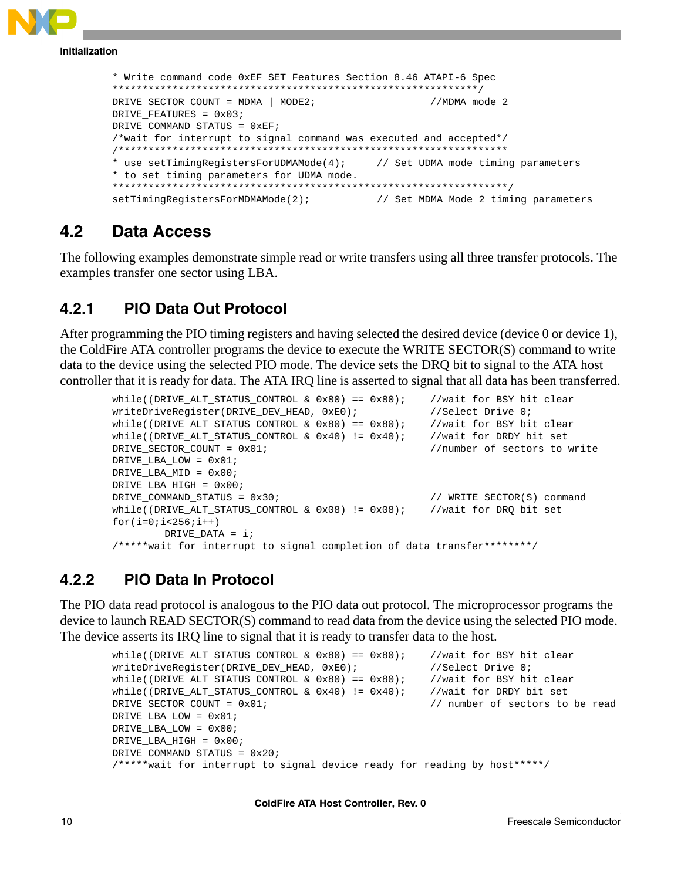

#### <span id="page-9-0"></span> $4.2$ Data Access

The following examples demonstrate simple read or write transfers using all three transfer protocols. The examples transfer one sector using LBA.

#### $4.2.1$ **PIO Data Out Protocol**

After programming the PIO timing registers and having selected the desired device (device 0 or device 1), the ColdFire ATA controller programs the device to execute the WRITE SECTOR(S) command to write data to the device using the selected PIO mode. The device sets the DRQ bit to signal to the ATA host controller that it is ready for data. The ATA IRQ line is asserted to signal that all data has been transferred.

```
while((DRIVE ALT STATUS CONTROL & 0x80) == 0x80);
                                                     //wait for BSY bit clear
writeDriveReqister(DRIVE_DEV_HEAD, 0xE0);
                                                     //Select Drive 0;
while((DRIVE ALT STATUS CONTROL & 0x80) == 0x80);
                                                   //wait for BSY bit clear
while((DRIVE ALT STATUS CONTROL & 0x40) != 0x40);
                                                   //wait for DRDY bit set
DRIVE SECTOR COUNT = 0x01;
                                                      //number of sectors to write
DRIVE LBA LOW = 0 \times 01;
DRIVE LBA MID = 0 \times 00;
DRIVE LBA HIGH = 0x00;
DRIVE COMMAND STATUS = 0x30;
                                                      // WRITE SECTOR(S) command
while((DRIVE ALT STATUS CONTROL & 0x08) != 0x08);
                                                   //wait for DRO bit set
for(i=0;i<256;i++)DRIVE DATA = i;
/*****wait for interrupt to signal completion of data transfer********/
```
#### $4.2.2$ **PIO Data In Protocol**

The PIO data read protocol is analogous to the PIO data out protocol. The microprocessor programs the device to launch READ SECTOR(S) command to read data from the device using the selected PIO mode. The device asserts its IRQ line to signal that it is ready to transfer data to the host.

```
//wait for BSY bit clear
while((DRIVE_ALT_STATUS_CONTROL & 0x80) == 0x80);
writeDriveReqister(DRIVE_DEV_HEAD, 0xE0);
                                                     //Select Drive 0;
while((DRIVE_ALT_STATUS_CONTROL & 0x80) == 0x80);
                                                     //wait for BSY bit clear
                                                     //wait for DRDY bit set
while((DRIVE\_ALT\_STATUS\_CONTROL & 0x40) != 0x40);
DRIVE SECTOR COUNT = 0x01;
                                                     // number of sectors to be read
DRIVE_LBA_LOW = 0x01;
DRIVE_LBA_LOW = 0x00;
DRIVE LBA HIGH = 0x00;
DRIVE_COMMAND_STATUS = 0x20;
/*****wait for interrupt to signal device ready for reading by host*****/
```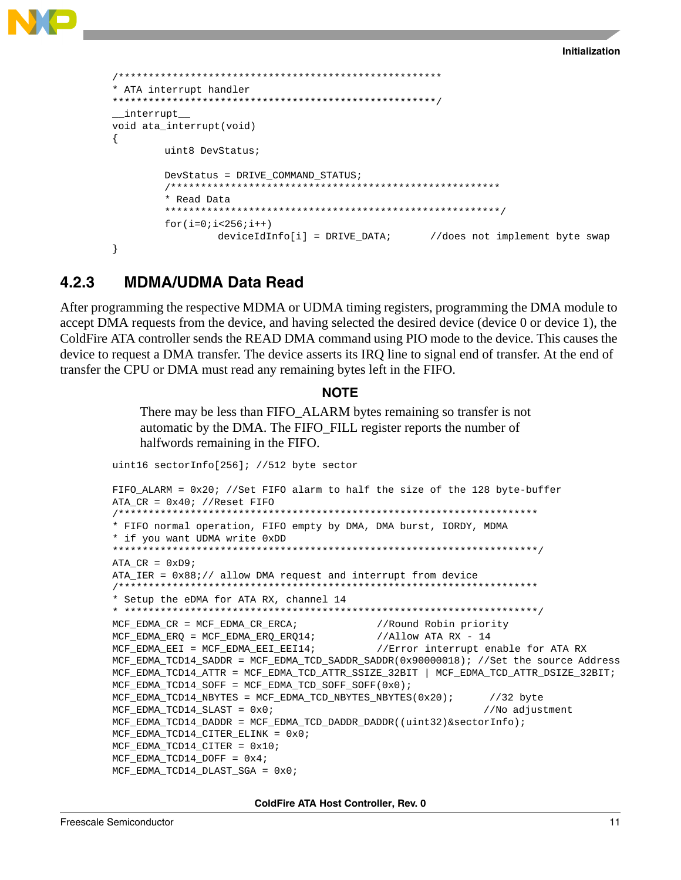

```
* ATA interrupt handler
interrupt
void ata interrupt (void)
\{uint8 DevStatus;
    DevStatus = DRIVE COMMAND STATUS;
    * Read Data
    for(i=0;i<256;i++)deviceIdInfo[i] = DRIVE_DATA; //does not implement byte swap
\}
```
#### $4.2.3$ **MDMA/UDMA Data Read**

After programming the respective MDMA or UDMA timing registers, programming the DMA module to accept DMA requests from the device, and having selected the desired device (device 0 or device 1), the ColdFire ATA controller sends the READ DMA command using PIO mode to the device. This causes the device to request a DMA transfer. The device asserts its IRQ line to signal end of transfer. At the end of transfer the CPU or DMA must read any remaining bytes left in the FIFO.

#### **NOTE**

There may be less than FIFO ALARM bytes remaining so transfer is not automatic by the DMA. The FIFO\_FILL register reports the number of halfwords remaining in the FIFO.

```
uint16 sectorInfo[256]; //512 byte sector
FIFO_ALARM = 0x20; //Set FIFO alarm to half the size of the 128 byte-buffer
ATA CR = 0x40; //Reset FIFO
* FIFO normal operation, FIFO empty by DMA, DMA burst, IORDY, MDMA
* if you want UDMA write 0xDD
ATA CR = 0xD9;ATA_IER = 0x88i// allow DMA request and interrupt from device
* Setup the eDMA for ATA RX, channel 14
MCF_EDMA_CR = MCF_EDMA_CR_ERCA//Round Robin priority
MCF_EDMA_ERQ = MCF_EDMA_ERQ_ERQ14;
                                 //Allow ATA RX - 14MCF EDMA EEI = MCF EDMA EEI EEI14;
                                 //Error interrupt enable for ATA RX
MCF_EDMA_TCD14_SADDR = MCF_EDMA_TCD_SADDR_SADDR(0x90000018); //Set the source Address
MCF_EDMA_TCD14_ATTR = MCF_EDMA_TCD_ATTR_SSIZE_32BIT | MCF_EDMA_TCD_ATTR_DSIZE_32BIT;
MCF_EDMA_TCD14_SOFF = MCF_EDMA_TCD_SOFF_SOFF(0x0);
MCF_EDMA_TCD14_NBYTES = MCF_EDMA_TCD_NBYTES_NBYTES(0x20);//32 byte
MCF_EDMA_TCD14_SLAST = 0x0;//No adjustment
MCF_EDMA_TCD14_DADDR = MCF_EDMA_TCD_DADDR_DADDR((uint32)&sectorInfo);
MCF_EDMA_TCD14_CITER_ELINK = 0x0;MCF_EDMA_TCD14_CITER = 0x10;
MCF_EDMA_TCD14_DOFF = 0x4;
MCF_EDMA_TCD14_DLAST_SGA = 0x0
```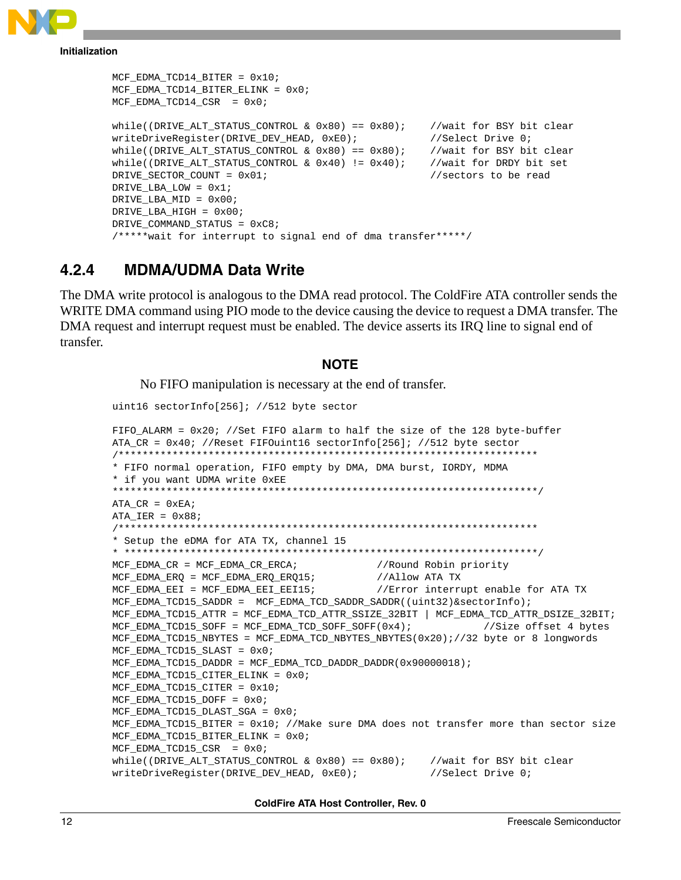

```
MCF_EDMA_TCD14_BITER = 0x10;
MCF_EDMA_TCD14_BITER_ELINK = 0x0;
MCF_EDMA_TCD14_CSR = 0x0;while((DRIVE ALT STATUS CONTROL & 0x80) == 0x80); //wait for BSY bit clear
writeDriveReqister(DRIVE_DEV_HEAD, 0xE0); //Select Drive 0;
while((DRIVE_ALT_STATUS_CONTROL & 0x80) == 0x80); //wait for BSY bit clear
while((DRIVE\_ALT\_STATUS\_CONTROL & 0x40) != 0x40); //wait for DRDY bit set
DRIVE_SECTOR_COUNT = 0x01; //sectors to be read
DRIVE_LBA_LOW = 0x1;
DRIVE LBA MID = 0x00;
DRIVE_LBA_HIGH = 0x00;
DRIVE_COMMAND_STATUS = 0xC8;
/*****wait for interrupt to signal end of dma transfer*****/
```
### **4.2.4 MDMA/UDMA Data Write**

The DMA write protocol is analogous to the DMA read protocol. The ColdFire ATA controller sends the WRITE DMA command using PIO mode to the device causing the device to request a DMA transfer. The DMA request and interrupt request must be enabled. The device asserts its IRQ line to signal end of transfer.

#### **NOTE**

No FIFO manipulation is necessary at the end of transfer.

uint16 sectorInfo[256]; //512 byte sector

```
FIFO ALARM = 0x20; //Set FIFO alarm to half the size of the 128 byte-buffer
ATA_CR = 0x40; //Reset FIFOuint16 sectorInfo[256]; //512 byte sector
/**********************************************************************
* FIFO normal operation, FIFO empty by DMA, DMA burst, IORDY, MDMA
* if you want UDMA write 0xEE
***********************************************************************/
ATA_CR = 0xEA;ATA IER = 0x88;
/**********************************************************************
* Setup the eDMA for ATA TX, channel 15
* *********************************************************************/
MCF_EDMA_CR = MCF_EDMA_CR_ERCA; //Round Robin priority
MCF_EDMA_ERQ = MCF_EDMA_ERQ_ERQ15; //Allow ATA TX
MCF_EDMA_EEI = MCF_EDMA_EEI_EEI15; //Error interrupt enable for ATA TX
MCF_EDMA_TCD15_SADDR = MCF_EDMA_TCD_SADDR_SADDR((uint32)&sectorInfo);
MCF_EDMA_TCD15_ATTR = MCF_EDMA_TCD_ATTR_SSIZE_32BIT | MCF_EDMA_TCD_ATTR_DSIZE_32BIT;
MCF_EDMA_TCD15_SOFF = MCF_EDMA_TCD_SOFF_SOFF(0x4); //Size offset 4 bytes
MCF_EDMA_TCD15_NBYTES = MCF_EDMA_TCD_NBYTES_NBYTES(0x20);//32 byte or 8 longwords
MCF_EDMA_TCD15_SLAST = 0x0;
MCF_EDMA_TCD15_DADDR = MCF_EDMA_TCD_DADDR_DADDR(0x90000018);
MCF_EDMA_TCD15_CITER_ELINK = 0x0;
MCF_EDMA_TCD15_CITER = 0x10;
MCF_EDMA_TCD15_DOFF = 0x0;
MCF_EDMA_TCD15_DLAST_SGA = 0x0;
MCF_EDMA_TCD15_BITER = 0x10; //Make sure DMA does not transfer more than sector size
MCF_EDMA_TCD15_BITER_ELINK = 0x0;
MCF_EDMA_TCD15_CSR = 0x0;while((DRIVE_ALT_STATUS_CONTROL & 0x80) == 0x80); //wait for BSY bit clear
writeDriveRegister(DRIVE_DEV_HEAD, 0xE0); //Select Drive 0;
```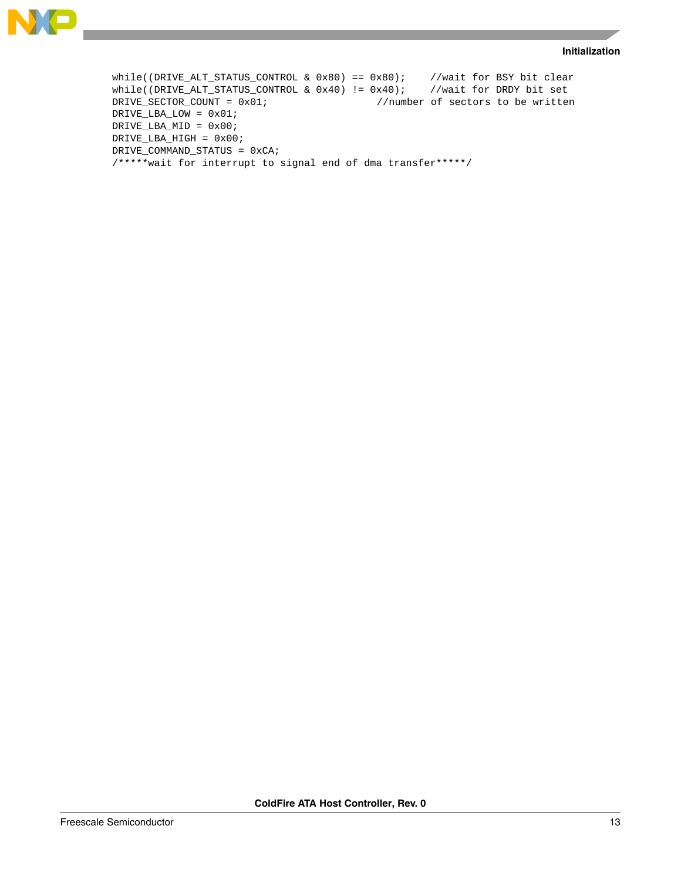#### **Initialization**



```
while((DRIVE_ALT_STATUS_CONTROL & 0x80) == 0x80); //wait for BSY bit clear<br>while((DRIVE_ALT_STATUS_CONTROL & 0x40) != 0x40); //wait for DRDY bit set
while((DRIVE\_ALT\_STATUS\_CONTROL & 0x40) != 0x40);
DRIVE_SECTOR_COUNT = 0x01; //number of sectors to be written
DRIVE_LBA_LOW = 0x01; 
DRIVE_LBA_MID = 0x00;
DRIVE_LBA_HIGH = 0x00;
DRIVE_COMMAND_STATUS = 0xCA;
/*****wait for interrupt to signal end of dma transfer*****/
```